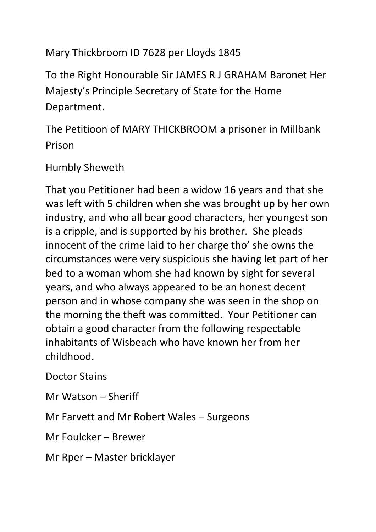## Mary Thickbroom ID 7628 per Lloyds 1845

To the Right Honourable Sir JAMES R J GRAHAM Baronet Her Majesty's Principle Secretary of State for the Home Department.

The Petitioon of MARY THICKBROOM a prisoner in Millbank Prison

## Humbly Sheweth

That you Petitioner had been a widow 16 years and that she was left with 5 children when she was brought up by her own industry, and who all bear good characters, her youngest son is a cripple, and is supported by his brother. She pleads innocent of the crime laid to her charge tho' she owns the circumstances were very suspicious she having let part of her bed to a woman whom she had known by sight for several years, and who always appeared to be an honest decent person and in whose company she was seen in the shop on the morning the theft was committed. Your Petitioner can obtain a good character from the following respectable inhabitants of Wisbeach who have known her from her childhood.

Doctor Stains

Mr Watson – Sheriff

Mr Farvett and Mr Robert Wales – Surgeons

Mr Foulcker – Brewer

Mr Rper – Master bricklayer